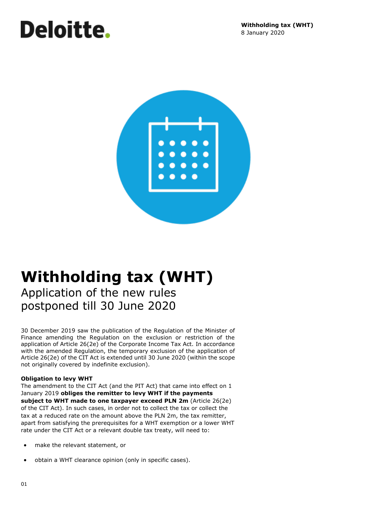# Deloitte.



# **Withholding tax (WHT)** Application of the new rules postponed till 30 June 2020

30 December 2019 saw the publication of the Regulation of the Minister of Finance amending the Regulation on the exclusion or restriction of the application of Article 26(2e) of the Corporate Income Tax Act. In accordance with the amended Regulation, the temporary exclusion of the application of Article 26(2e) of the CIT Act is extended until 30 June 2020 (within the scope not originally covered by indefinite exclusion).

## **Obligation to levy WHT**

The amendment to the CIT Act (and the PIT Act) that came into effect on 1 January 2019 **obliges the remitter to levy WHT if the payments subject to WHT made to one taxpayer exceed PLN 2m** (Article 26(2e) of the CIT Act). In such cases, in order not to collect the tax or collect the tax at a reduced rate on the amount above the PLN 2m, the tax remitter, apart from satisfying the prerequisites for a WHT exemption or a lower WHT rate under the CIT Act or a relevant double tax treaty, will need to:

- make the relevant statement, or
- obtain a WHT clearance opinion (only in specific cases).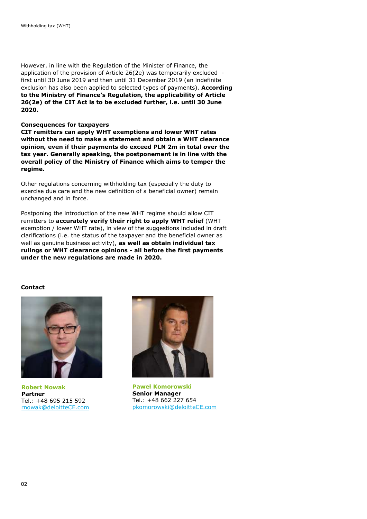However, in line with the Regulation of the Minister of Finance, the application of the provision of Article 26(2e) was temporarily excluded first until 30 June 2019 and then until 31 December 2019 (an indefinite exclusion has also been applied to selected types of payments). **According to the Ministry of Finance's Regulation, the applicability of Article 26(2e) of the CIT Act is to be excluded further, i.e. until 30 June 2020.**

#### **Consequences for taxpayers**

**CIT remitters can apply WHT exemptions and lower WHT rates without the need to make a statement and obtain a WHT clearance opinion, even if their payments do exceed PLN 2m in total over the tax year. Generally speaking, the postponement is in line with the overall policy of the Ministry of Finance which aims to temper the regime.** 

Other regulations concerning withholding tax (especially the duty to exercise due care and the new definition of a beneficial owner) remain unchanged and in force.

Postponing the introduction of the new WHT regime should allow CIT remitters to **accurately verify their right to apply WHT relief** (WHT exemption / lower WHT rate), in view of the suggestions included in draft clarifications (i.e. the status of the taxpayer and the beneficial owner as well as genuine business activity), **as well as obtain individual tax rulings or WHT clearance opinions - all before the first payments under the new regulations are made in 2020.**

### **Contact**



**Robert Nowak Partner** Tel.: +48 695 215 592 [rnowak@deloitteCE.com](mailto:rnowak@deloitteCE.com)



**Paweł Komorowski Senior Manager** Tel.: +48 662 227 654 [pkomorowski@deloitteCE.com](mailto:pkomorowski@deloitteCE.com)